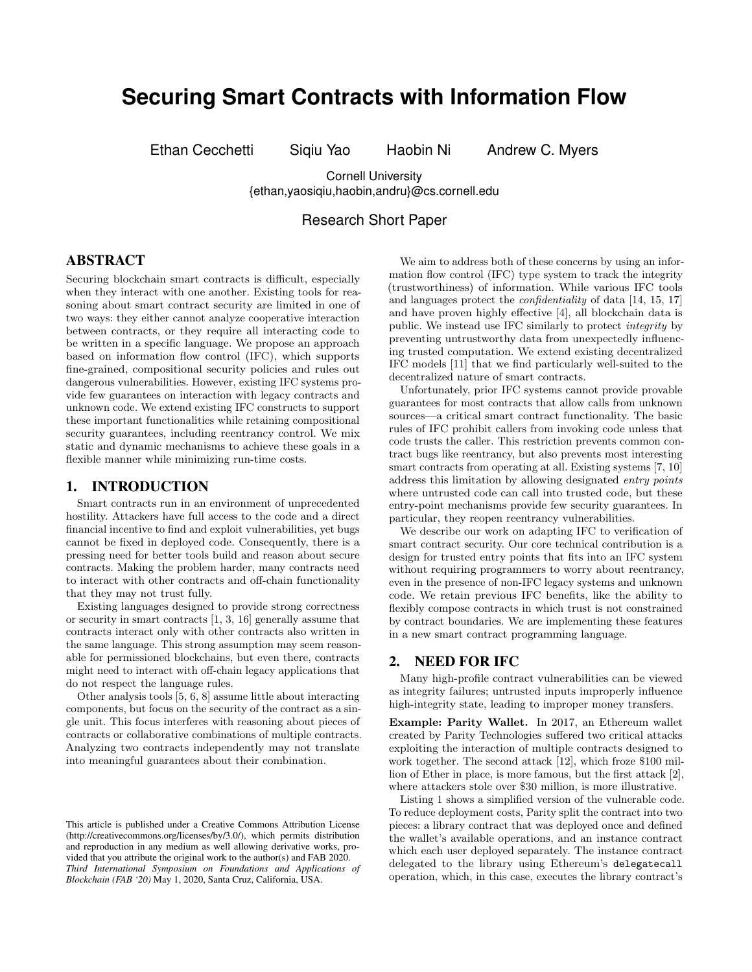# **Securing Smart Contracts with Information Flow**

Ethan Cecchetti Siqiu Yao Haobin Ni Andrew C. Myers

Cornell University {ethan,yaosiqiu,haobin,andru}@cs.cornell.edu

# Research Short Paper

# ABSTRACT

Securing blockchain smart contracts is difficult, especially when they interact with one another. Existing tools for reasoning about smart contract security are limited in one of two ways: they either cannot analyze cooperative interaction between contracts, or they require all interacting code to be written in a specific language. We propose an approach based on information flow control (IFC), which supports fine-grained, compositional security policies and rules out dangerous vulnerabilities. However, existing IFC systems provide few guarantees on interaction with legacy contracts and unknown code. We extend existing IFC constructs to support these important functionalities while retaining compositional security guarantees, including reentrancy control. We mix static and dynamic mechanisms to achieve these goals in a flexible manner while minimizing run-time costs.

#### 1. INTRODUCTION

Smart contracts run in an environment of unprecedented hostility. Attackers have full access to the code and a direct financial incentive to find and exploit vulnerabilities, yet bugs cannot be fixed in deployed code. Consequently, there is a pressing need for better tools build and reason about secure contracts. Making the problem harder, many contracts need to interact with other contracts and off-chain functionality that they may not trust fully.

Existing languages designed to provide strong correctness or security in smart contracts [\[1,](#page-4-0) [3,](#page-4-1) [16\]](#page-4-2) generally assume that contracts interact only with other contracts also written in the same language. This strong assumption may seem reasonable for permissioned blockchains, but even there, contracts might need to interact with off-chain legacy applications that do not respect the language rules.

Other analysis tools [\[5,](#page-4-3) [6,](#page-4-4) [8\]](#page-4-5) assume little about interacting components, but focus on the security of the contract as a single unit. This focus interferes with reasoning about pieces of contracts or collaborative combinations of multiple contracts. Analyzing two contracts independently may not translate into meaningful guarantees about their combination.

We aim to address both of these concerns by using an information flow control (IFC) type system to track the integrity (trustworthiness) of information. While various IFC tools and languages protect the confidentiality of data [\[14,](#page-4-6) [15,](#page-4-7) [17\]](#page-4-8) and have proven highly effective [\[4\]](#page-4-9), all blockchain data is public. We instead use IFC similarly to protect integrity by preventing untrustworthy data from unexpectedly influencing trusted computation. We extend existing decentralized IFC models [\[11\]](#page-4-10) that we find particularly well-suited to the decentralized nature of smart contracts.

Unfortunately, prior IFC systems cannot provide provable guarantees for most contracts that allow calls from unknown sources—a critical smart contract functionality. The basic rules of IFC prohibit callers from invoking code unless that code trusts the caller. This restriction prevents common contract bugs like reentrancy, but also prevents most interesting smart contracts from operating at all. Existing systems [\[7,](#page-4-11) [10\]](#page-4-12) address this limitation by allowing designated entry points where untrusted code can call into trusted code, but these entry-point mechanisms provide few security guarantees. In particular, they reopen reentrancy vulnerabilities.

We describe our work on adapting IFC to verification of smart contract security. Our core technical contribution is a design for trusted entry points that fits into an IFC system without requiring programmers to worry about reentrancy, even in the presence of non-IFC legacy systems and unknown code. We retain previous IFC benefits, like the ability to flexibly compose contracts in which trust is not constrained by contract boundaries. We are implementing these features in a new smart contract programming language.

## <span id="page-0-0"></span>2. NEED FOR IFC

Many high-profile contract vulnerabilities can be viewed as integrity failures; untrusted inputs improperly influence high-integrity state, leading to improper money transfers.

Example: Parity Wallet. In 2017, an Ethereum wallet created by Parity Technologies suffered two critical attacks exploiting the interaction of multiple contracts designed to work together. The second attack [\[12\]](#page-4-13), which froze \$100 million of Ether in place, is more famous, but the first attack [\[2\]](#page-4-14), where attackers stole over \$30 million, is more illustrative.

Listing [1](#page-1-0) shows a simplified version of the vulnerable code. To reduce deployment costs, Parity split the contract into two pieces: a library contract that was deployed once and defined the wallet's available operations, and an instance contract which each user deployed separately. The instance contract delegated to the library using Ethereum's delegatecall operation, which, in this case, executes the library contract's

This article is published under a Creative Commons Attribution License (http://creativecommons.org/licenses/by/3.0/), which permits distribution and reproduction in any medium as well allowing derivative works, provided that you attribute the original work to the author(s) and FAB 2020. *Third International Symposium on Foundations and Applications of Blockchain (FAB '20)* May 1, 2020, Santa Cruz, California, USA.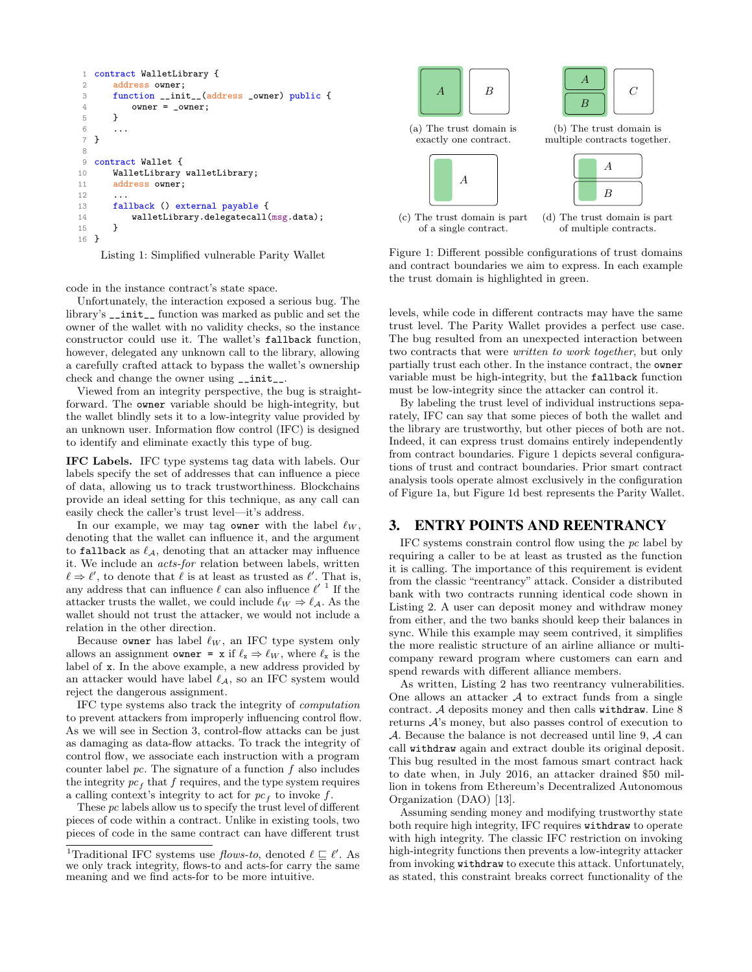```
1 contract WalletLibrary {
2 address owner;
3 function __init__(address _owner) public {
4 owner = _owner;
5 }
 6 ...
7 }
8
9 contract Wallet {
10 WalletLibrary walletLibrary;
11 address owner;
12
13 fallback () external payable {
14 walletLibrary.delegatecall(msg.data);<br>15 }
15 }
16 }
```
Listing 1: Simplified vulnerable Parity Wallet

code in the instance contract's state space.

Unfortunately, the interaction exposed a serious bug. The library's \_\_init\_\_ function was marked as public and set the owner of the wallet with no validity checks, so the instance constructor could use it. The wallet's fallback function, however, delegated any unknown call to the library, allowing a carefully crafted attack to bypass the wallet's ownership check and change the owner using \_\_init\_\_.

Viewed from an integrity perspective, the bug is straightforward. The owner variable should be high-integrity, but the wallet blindly sets it to a low-integrity value provided by an unknown user. Information flow control (IFC) is designed to identify and eliminate exactly this type of bug.

IFC Labels. IFC type systems tag data with labels. Our labels specify the set of addresses that can influence a piece of data, allowing us to track trustworthiness. Blockchains provide an ideal setting for this technique, as any call can easily check the caller's trust level—it's address.

In our example, we may tag owner with the label  $\ell_W$ , denoting that the wallet can influence it, and the argument to fallback as  $\ell_A$ , denoting that an attacker may influence it. We include an acts-for relation between labels, written  $\ell \Rightarrow \ell'$ , to denote that  $\ell$  is at least as trusted as  $\ell'$ . That is, any address that can influence  $\ell$  can also influence  $\ell'$ <sup>[1](#page-1-1)</sup> If the attacker trusts the wallet, we could include  $\ell_W \Rightarrow \ell_A$ . As the wallet should not trust the attacker, we would not include a relation in the other direction.

Because owner has label  $\ell_W$ , an IFC type system only allows an assignment owner = x if  $\ell_x \Rightarrow \ell_W$ , where  $\ell_x$  is the label of x. In the above example, a new address provided by an attacker would have label  $\ell_A$ , so an IFC system would reject the dangerous assignment.

IFC type systems also track the integrity of computation to prevent attackers from improperly influencing control flow. As we will see in Section [3,](#page-1-2) control-flow attacks can be just as damaging as data-flow attacks. To track the integrity of control flow, we associate each instruction with a program counter label  $pc$ . The signature of a function  $f$  also includes the integrity  $pc<sub>f</sub>$  that f requires, and the type system requires a calling context's integrity to act for  $pc<sub>f</sub>$  to invoke f.

These pc labels allow us to specify the trust level of different pieces of code within a contract. Unlike in existing tools, two pieces of code in the same contract can have different trust

<span id="page-1-3"></span>



(a) The trust domain is exactly one contract.



(c) The trust domain is part of a single contract.

(b) The trust domain is multiple contracts together.



(d) The trust domain is part of multiple contracts.

Figure 1: Different possible configurations of trust domains and contract boundaries we aim to express. In each example the trust domain is highlighted in green.

levels, while code in different contracts may have the same trust level. The Parity Wallet provides a perfect use case. The bug resulted from an unexpected interaction between two contracts that were *written to work together*, but only partially trust each other. In the instance contract, the owner variable must be high-integrity, but the fallback function must be low-integrity since the attacker can control it.

By labeling the trust level of individual instructions separately, IFC can say that some pieces of both the wallet and the library are trustworthy, but other pieces of both are not. Indeed, it can express trust domains entirely independently from contract boundaries. Figure [1](#page-1-3) depicts several configurations of trust and contract boundaries. Prior smart contract analysis tools operate almost exclusively in the configuration of Figure [1a,](#page-1-3) but Figure [1d](#page-1-3) best represents the Parity Wallet.

#### <span id="page-1-2"></span>3. ENTRY POINTS AND REENTRANCY

IFC systems constrain control flow using the pc label by requiring a caller to be at least as trusted as the function it is calling. The importance of this requirement is evident from the classic "reentrancy" attack. Consider a distributed bank with two contracts running identical code shown in Listing [2.](#page-2-0) A user can deposit money and withdraw money from either, and the two banks should keep their balances in sync. While this example may seem contrived, it simplifies the more realistic structure of an airline alliance or multicompany reward program where customers can earn and spend rewards with different alliance members.

As written, Listing [2](#page-2-0) has two reentrancy vulnerabilities. One allows an attacker  $A$  to extract funds from a single contract. A deposits money and then calls withdraw. Line [8](#page-2-1) returns A's money, but also passes control of execution to A. Because the balance is not decreased until line [9,](#page-2-2) A can call withdraw again and extract double its original deposit. This bug resulted in the most famous smart contract hack to date when, in July 2016, an attacker drained \$50 million in tokens from Ethereum's Decentralized Autonomous Organization (DAO) [\[13\]](#page-4-15).

Assuming sending money and modifying trustworthy state both require high integrity, IFC requires withdraw to operate with high integrity. The classic IFC restriction on invoking high-integrity functions then prevents a low-integrity attacker from invoking withdraw to execute this attack. Unfortunately, as stated, this constraint breaks correct functionality of the

<span id="page-1-1"></span><sup>&</sup>lt;sup>1</sup>Traditional IFC systems use *flows-to*, denoted  $\ell \subseteq \ell'$ . As we only track integrity, flows-to and acts-for carry the same meaning and we find acts-for to be more intuitive.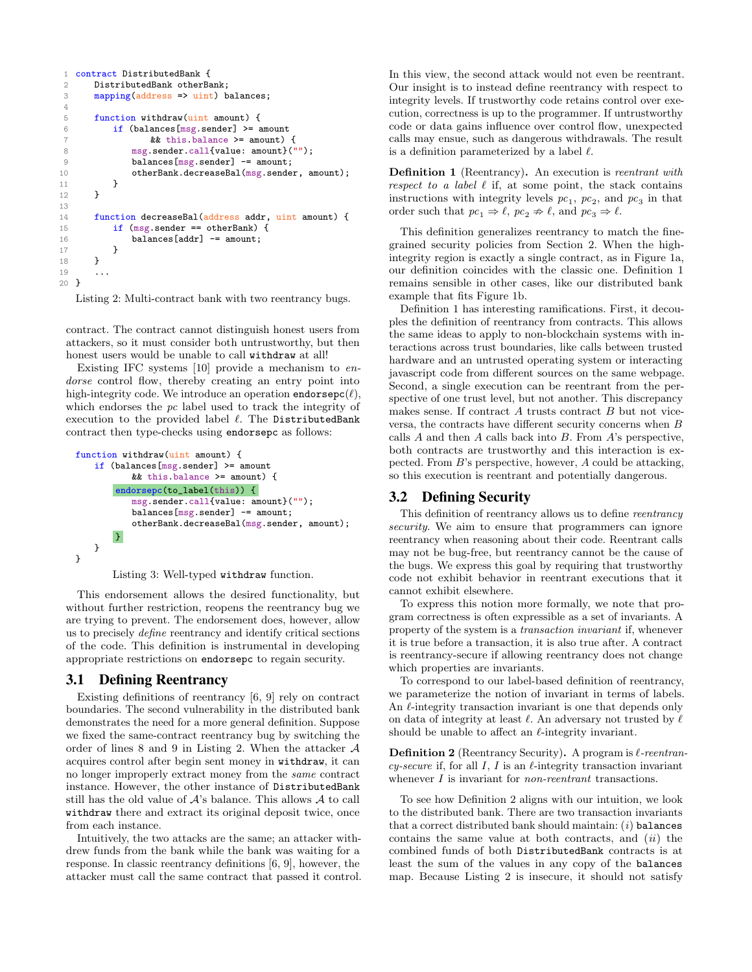```
1 contract DistributedBank {
 2 DistributedBank otherBank;
 3 mapping(address => uint) balances;
 4
 5 function withdraw(uint amount) {
 6 if (balances[msg.sender] >= amount 7<br>
\begin{array}{c} k \\ k \\ k \\ k \end{array} this balance >= amount)
                    && this.balance >= amount) {
 8 msg.sender.call{value: amount}("");<br>9 balances[msg.sender] == amount:
                balances[msg.sender] -= amount;
10 otherBank.decreaseBal(msg.sender, amount);<br>11 }
\frac{11}{12}\mathcal{F}13
14 function decreaseBal(address addr, uint amount) {
15 if (msg.sender == otherBank) {
16 balances[addr] - amount;
17 }
18 }
19 ...
20 }
```
Listing 2: Multi-contract bank with two reentrancy bugs.

contract. The contract cannot distinguish honest users from attackers, so it must consider both untrustworthy, but then honest users would be unable to call withdraw at all!

Existing IFC systems [\[10\]](#page-4-12) provide a mechanism to endorse control flow, thereby creating an entry point into high-integrity code. We introduce an operation endorsepc $(\ell)$ , which endorses the pc label used to track the integrity of execution to the provided label  $\ell$ . The DistributedBank contract then type-checks using endorsepc as follows:

```
function withdraw(uint amount) {
   if (balances[msg.sender] >= amount
          && this.balance >= amount) {
       endorsepc(to_label(this)) {
          msg.sender.call{value: amount}("");
          balances[msg.sender] -= amount;
          otherBank.decreaseBal(msg.sender, amount);
       }
   }
}
```


This endorsement allows the desired functionality, but without further restriction, reopens the reentrancy bug we are trying to prevent. The endorsement does, however, allow us to precisely define reentrancy and identify critical sections of the code. This definition is instrumental in developing appropriate restrictions on endorsepc to regain security.

## 3.1 Defining Reentrancy

Existing definitions of reentrancy [\[6,](#page-4-4) [9\]](#page-4-16) rely on contract boundaries. The second vulnerability in the distributed bank demonstrates the need for a more general definition. Suppose we fixed the same-contract reentrancy bug by switching the order of lines [8](#page-2-1) and [9](#page-2-2) in Listing [2.](#page-2-0) When the attacker A acquires control after begin sent money in withdraw, it can no longer improperly extract money from the same contract instance. However, the other instance of DistributedBank still has the old value of  $A$ 's balance. This allows  $A$  to call withdraw there and extract its original deposit twice, once from each instance.

Intuitively, the two attacks are the same; an attacker withdrew funds from the bank while the bank was waiting for a response. In classic reentrancy definitions [\[6,](#page-4-4) [9\]](#page-4-16), however, the attacker must call the same contract that passed it control. In this view, the second attack would not even be reentrant. Our insight is to instead define reentrancy with respect to integrity levels. If trustworthy code retains control over execution, correctness is up to the programmer. If untrustworthy code or data gains influence over control flow, unexpected calls may ensue, such as dangerous withdrawals. The result is a definition parameterized by a label  $\ell$ .

<span id="page-2-3"></span>Definition 1 (Reentrancy). An execution is reentrant with respect to a label  $\ell$  if, at some point, the stack contains instructions with integrity levels  $pc_1$ ,  $pc_2$ , and  $pc_3$  in that order such that  $pc_1 \Rightarrow \ell, pc_2 \Rightarrow \ell$ , and  $pc_3 \Rightarrow \ell$ .

This definition generalizes reentrancy to match the finegrained security policies from Section [2.](#page-0-0) When the highintegrity region is exactly a single contract, as in Figure [1a,](#page-1-3) our definition coincides with the classic one. Definition [1](#page-2-3) remains sensible in other cases, like our distributed bank example that fits Figure [1b.](#page-1-3)

Definition [1](#page-2-3) has interesting ramifications. First, it decouples the definition of reentrancy from contracts. This allows the same ideas to apply to non-blockchain systems with interactions across trust boundaries, like calls between trusted hardware and an untrusted operating system or interacting javascript code from different sources on the same webpage. Second, a single execution can be reentrant from the perspective of one trust level, but not another. This discrepancy makes sense. If contract A trusts contract B but not viceversa, the contracts have different security concerns when  $B$ calls  $A$  and then  $A$  calls back into  $B$ . From  $A$ 's perspective, both contracts are trustworthy and this interaction is expected. From B's perspective, however, A could be attacking, so this execution is reentrant and potentially dangerous.

## 3.2 Defining Security

This definition of reentrancy allows us to define reentrancy security. We aim to ensure that programmers can ignore reentrancy when reasoning about their code. Reentrant calls may not be bug-free, but reentrancy cannot be the cause of the bugs. We express this goal by requiring that trustworthy code not exhibit behavior in reentrant executions that it cannot exhibit elsewhere.

To express this notion more formally, we note that program correctness is often expressible as a set of invariants. A property of the system is a transaction invariant if, whenever it is true before a transaction, it is also true after. A contract is reentrancy-secure if allowing reentrancy does not change which properties are invariants.

To correspond to our label-based definition of reentrancy, we parameterize the notion of invariant in terms of labels. An  $\ell$ -integrity transaction invariant is one that depends only on data of integrity at least  $\ell$ . An adversary not trusted by  $\ell$ should be unable to affect an  $\ell$ -integrity invariant.

<span id="page-2-4"></span>**Definition 2** (Reentrancy Security). A program is  $\ell$ -reentrancy-secure if, for all  $I, I$  is an  $\ell$ -integrity transaction invariant whenever I is invariant for *non-reentrant* transactions.

To see how Definition [2](#page-2-4) aligns with our intuition, we look to the distributed bank. There are two transaction invariants that a correct distributed bank should maintain:  $(i)$  balances contains the same value at both contracts, and  $(ii)$  the combined funds of both DistributedBank contracts is at least the sum of the values in any copy of the balances map. Because Listing [2](#page-2-0) is insecure, it should not satisfy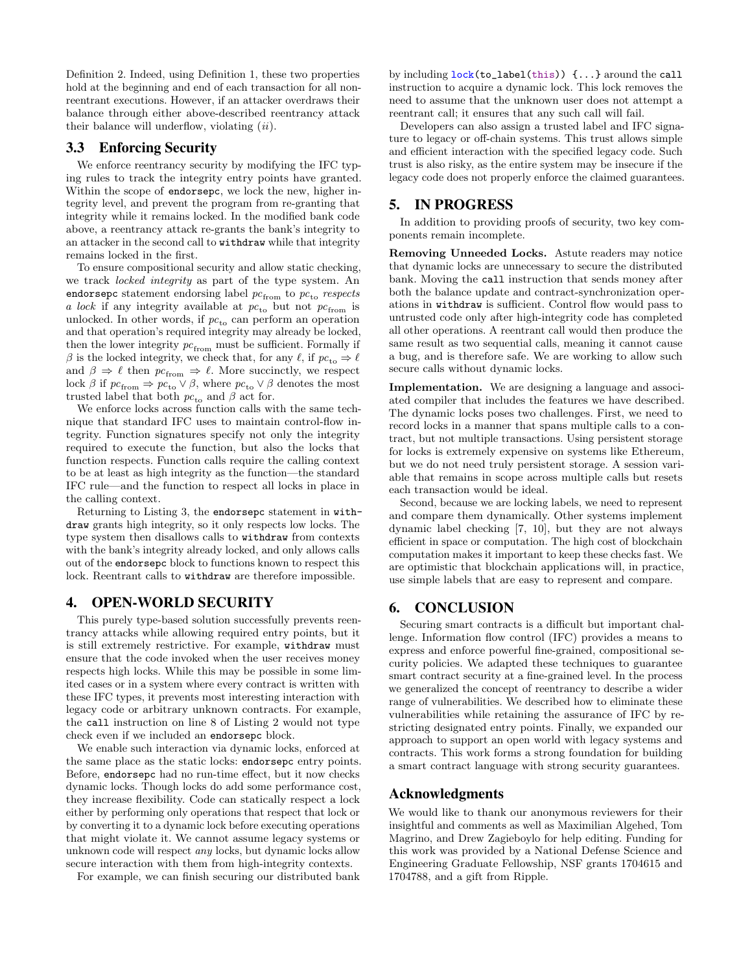Definition [2.](#page-2-4) Indeed, using Definition [1,](#page-2-3) these two properties hold at the beginning and end of each transaction for all nonreentrant executions. However, if an attacker overdraws their balance through either above-described reentrancy attack their balance will underflow, violating  $(ii)$ .

## 3.3 Enforcing Security

We enforce reentrancy security by modifying the IFC typing rules to track the integrity entry points have granted. Within the scope of endorsepc, we lock the new, higher integrity level, and prevent the program from re-granting that integrity while it remains locked. In the modified bank code above, a reentrancy attack re-grants the bank's integrity to an attacker in the second call to withdraw while that integrity remains locked in the first.

To ensure compositional security and allow static checking, we track locked integrity as part of the type system. An endorsepc statement endorsing label  $pc_{\text{from}}$  to  $pc_{\text{to}}$  respects  $a \, lock$  if any integrity available at  $pc_{\rm to}$  but not  $pc_{\rm from}$  is unlocked. In other words, if  $pc_{to}$  can perform an operation and that operation's required integrity may already be locked, then the lower integrity  $pc_{\text{from}}$  must be sufficient. Formally if  $\beta$  is the locked integrity, we check that, for any  $\ell$ , if  $pc_{\text{to}} \Rightarrow \ell$ and  $\beta \Rightarrow \ell$  then  $pc_{\text{from}} \Rightarrow \ell$ . More succinctly, we respect lock  $\beta$  if  $pc_{\text{from}} \Rightarrow pc_{\text{to}} \vee \beta$ , where  $pc_{\text{to}} \vee \beta$  denotes the most trusted label that both  $pc_{to}$  and  $\beta$  act for.

We enforce locks across function calls with the same technique that standard IFC uses to maintain control-flow integrity. Function signatures specify not only the integrity required to execute the function, but also the locks that function respects. Function calls require the calling context to be at least as high integrity as the function—the standard IFC rule—and the function to respect all locks in place in the calling context.

Returning to Listing [3,](#page-2-5) the endorsepc statement in withdraw grants high integrity, so it only respects low locks. The type system then disallows calls to withdraw from contexts with the bank's integrity already locked, and only allows calls out of the endorsepc block to functions known to respect this lock. Reentrant calls to withdraw are therefore impossible.

#### 4. OPEN-WORLD SECURITY

This purely type-based solution successfully prevents reentrancy attacks while allowing required entry points, but it is still extremely restrictive. For example, withdraw must ensure that the code invoked when the user receives money respects high locks. While this may be possible in some limited cases or in a system where every contract is written with these IFC types, it prevents most interesting interaction with legacy code or arbitrary unknown contracts. For example, the call instruction on line [8](#page-2-1) of Listing [2](#page-2-0) would not type check even if we included an endorsepc block.

We enable such interaction via dynamic locks, enforced at the same place as the static locks: endorsepc entry points. Before, endorsepc had no run-time effect, but it now checks dynamic locks. Though locks do add some performance cost, they increase flexibility. Code can statically respect a lock either by performing only operations that respect that lock or by converting it to a dynamic lock before executing operations that might violate it. We cannot assume legacy systems or unknown code will respect any locks, but dynamic locks allow secure interaction with them from high-integrity contexts.

For example, we can finish securing our distributed bank

by including lock(to\_label(this)) {...} around the call instruction to acquire a dynamic lock. This lock removes the need to assume that the unknown user does not attempt a reentrant call; it ensures that any such call will fail.

Developers can also assign a trusted label and IFC signature to legacy or off-chain systems. This trust allows simple and efficient interaction with the specified legacy code. Such trust is also risky, as the entire system may be insecure if the legacy code does not properly enforce the claimed guarantees.

#### 5. IN PROGRESS

In addition to providing proofs of security, two key components remain incomplete.

Removing Unneeded Locks. Astute readers may notice that dynamic locks are unnecessary to secure the distributed bank. Moving the call instruction that sends money after both the balance update and contract-synchronization operations in withdraw is sufficient. Control flow would pass to untrusted code only after high-integrity code has completed all other operations. A reentrant call would then produce the same result as two sequential calls, meaning it cannot cause a bug, and is therefore safe. We are working to allow such secure calls without dynamic locks.

Implementation. We are designing a language and associated compiler that includes the features we have described. The dynamic locks poses two challenges. First, we need to record locks in a manner that spans multiple calls to a contract, but not multiple transactions. Using persistent storage for locks is extremely expensive on systems like Ethereum, but we do not need truly persistent storage. A session variable that remains in scope across multiple calls but resets each transaction would be ideal.

Second, because we are locking labels, we need to represent and compare them dynamically. Other systems implement dynamic label checking [\[7,](#page-4-11) [10\]](#page-4-12), but they are not always efficient in space or computation. The high cost of blockchain computation makes it important to keep these checks fast. We are optimistic that blockchain applications will, in practice, use simple labels that are easy to represent and compare.

# 6. CONCLUSION

Securing smart contracts is a difficult but important challenge. Information flow control (IFC) provides a means to express and enforce powerful fine-grained, compositional security policies. We adapted these techniques to guarantee smart contract security at a fine-grained level. In the process we generalized the concept of reentrancy to describe a wider range of vulnerabilities. We described how to eliminate these vulnerabilities while retaining the assurance of IFC by restricting designated entry points. Finally, we expanded our approach to support an open world with legacy systems and contracts. This work forms a strong foundation for building a smart contract language with strong security guarantees.

#### Acknowledgments

We would like to thank our anonymous reviewers for their insightful and comments as well as Maximilian Algehed, Tom Magrino, and Drew Zagieboylo for help editing. Funding for this work was provided by a National Defense Science and Engineering Graduate Fellowship, NSF grants 1704615 and 1704788, and a gift from Ripple.